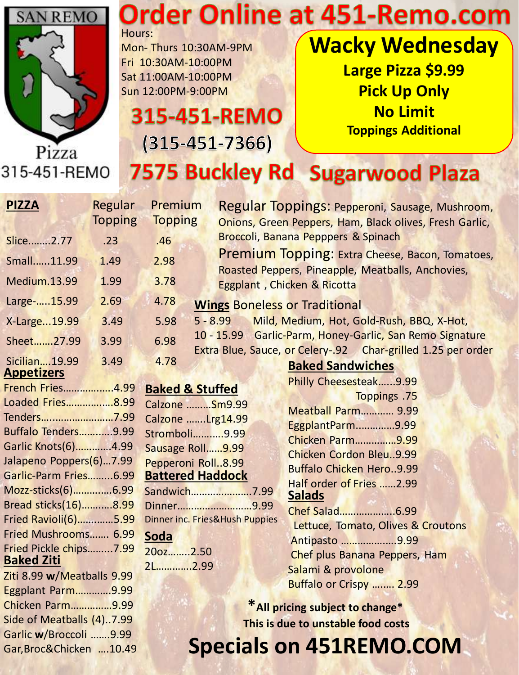

#### **Order Online at 451-Remo.com** Hours:

Mon- Thurs 10:30AM-9PM Fri 10:30AM-10:00PM Sat 11:00AM-10:00PM Sun 12:00PM-9:00PM

315-451-REMO

 $(315 - 451 - 7366)$ 

**Wacky Wednesday Large Pizza \$9.99 Pick Up Only No Limit Toppings Additional**

#### 315-451-REMO **7575 Buckley Rd Sugarwood Plaza**

| <b>PIZZA</b>               | Regular        | Premium                    |                                      | Regular Toppings: Pepperoni, Sausage, Mushroom,                                         |
|----------------------------|----------------|----------------------------|--------------------------------------|-----------------------------------------------------------------------------------------|
|                            | <b>Topping</b> | <b>Topping</b>             |                                      | Onions, Green Peppers, Ham, Black olives, Fresh Garlic,                                 |
| Slice2.77                  | .23            | .46                        |                                      | Broccoli, Banana Pepppers & Spinach                                                     |
| Small11.99                 | 1.49           | 2.98                       |                                      | <b>Premium Topping: Extra Cheese, Bacon, Tomatoes,</b>                                  |
| <b>Medium.13.99</b>        | 1.99           | 3.78                       |                                      | Roasted Peppers, Pineapple, Meatballs, Anchovies,<br>Eggplant, Chicken & Ricotta        |
| Large-15.99                | 2.69           | 4.78                       | <b>Wings Boneless or Traditional</b> |                                                                                         |
| X-Large19.99               | 3.49           | 5.98                       | $5 - 8.99$                           | Mild, Medium, Hot, Gold-Rush, BBQ, X-Hot,                                               |
| Sheet27.99                 | 3.99           | 6.98                       |                                      | 10 - 15.99 Garlic-Parm, Honey-Garlic, San Remo Signature                                |
| Sicilian19.99              | 3.49           | 4.78                       |                                      | Extra Blue, Sauce, or Celery-.92 Char-grilled 1.25 per order<br><b>Baked Sandwiches</b> |
| <b>Appetizers</b>          |                |                            |                                      | Philly Cheesesteak9.99                                                                  |
| French Fries4.99           |                | <b>Baked &amp; Stuffed</b> |                                      | Toppings .75                                                                            |
| Loaded Fries8.99           |                | Calzone  Sm9.99            |                                      | <b>Meatball Parm 9.99</b>                                                               |
| Tenders7.99                |                | Calzone  Lrg14.99          |                                      |                                                                                         |
| <b>Buffalo Tenders9.99</b> |                | Stromboli9.99              |                                      | EggplantParm9.99                                                                        |
| Garlic Knots(6)4.99        |                | Sausage Roll9.99           |                                      | <b>Chicken Parm9.99</b>                                                                 |
| Jalapeno Poppers(6)7.99    |                | Pepperoni Roll8.99         |                                      | <b>Chicken Cordon Bleu9.99</b>                                                          |
| Garlic-Parm Fries6.99      |                | <b>Battered Haddock</b>    |                                      | <b>Buffalo Chicken Hero9.99</b>                                                         |
| Mozz-sticks(6)6.99         |                |                            | Sandwich7.99                         | Half order of Fries 2.99                                                                |
| Bread sticks(16)8.99       |                |                            | Dinner9.99                           | <b>Salads</b>                                                                           |
| Fried Ravioli(6)5.99       |                |                            | Dinner inc. Fries&Hush Puppies       | Chef Salad6.99                                                                          |
| Fried Mushrooms 6.99       |                | <b>Soda</b>                |                                      | Lettuce, Tomato, Olives & Croutons                                                      |
| Fried Pickle chips7.99     |                | 200z2.50                   |                                      | Antipasto 9.99                                                                          |
| <b>Baked Ziti</b>          |                |                            |                                      | Chef plus Banana Peppers, Ham                                                           |
| Ziti 8.99 w/Meatballs 9.99 |                | 2L2.99                     |                                      | Salami & provolone                                                                      |
| <b>Eggplant Parm9.99</b>   |                |                            |                                      | Buffalo or Crispy  2.99                                                                 |
| Chicken Parm9.99           |                |                            |                                      | *All pricing subject to change*                                                         |
| Side of Meatballs (4)7.99  |                |                            |                                      |                                                                                         |
| Garlic w/Broccoli 9.99     |                |                            |                                      | This is due to unstable food costs                                                      |
| Gar, Broc& Chicken  10.49  |                |                            |                                      | <b>Specials on 451REMO.COM</b>                                                          |
|                            |                |                            |                                      |                                                                                         |